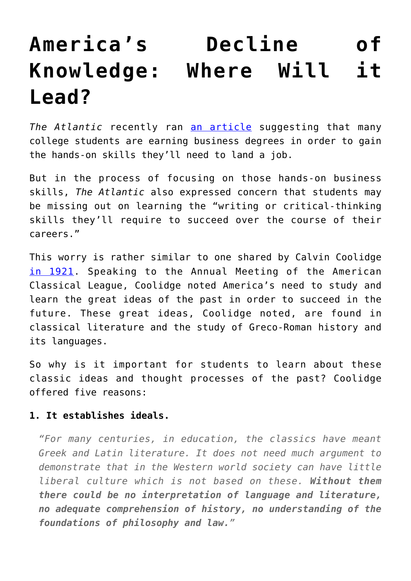# **[America's Decline of](https://intellectualtakeout.org/2016/06/americas-decline-of-knowledge-where-will-it-lead/) [Knowledge: Where Will it](https://intellectualtakeout.org/2016/06/americas-decline-of-knowledge-where-will-it-lead/) [Lead?](https://intellectualtakeout.org/2016/06/americas-decline-of-knowledge-where-will-it-lead/)**

The Atlantic recently ran [an article](http://www.theatlantic.com/business/archive/2016/06/why-americas-business-majors-are-in-desperate-need-of-a-liberal-arts-education/489209/) suggesting that many college students are earning business degrees in order to gain the hands-on skills they'll need to land a job.

But in the process of focusing on those hands-on business skills, *The Atlantic* also expressed concern that students may be missing out on learning the "writing or critical-thinking skills they'll require to succeed over the course of their careers."

This worry is rather similar to one shared by Calvin Coolidge [in 1921](https://www.amazon.com/gp/product/1589635388/ref=as_li_qf_sp_asin_il_tl?ie=UTF8&tag=intelltakeo0d-20&camp=1789&creative=9325&linkCode=as2&creativeASIN=1589635388&linkId=27deeb97c5626f9645a8f9b23bb7c6bb). Speaking to the Annual Meeting of the American Classical League, Coolidge noted America's need to study and learn the great ideas of the past in order to succeed in the future. These great ideas, Coolidge noted, are found in classical literature and the study of Greco-Roman history and its languages.

So why is it important for students to learn about these classic ideas and thought processes of the past? Coolidge offered five reasons:

## **1. It establishes ideals.**

*"For many centuries, in education, the classics have meant Greek and Latin literature. It does not need much argument to demonstrate that in the Western world society can have little liberal culture which is not based on these. Without them there could be no interpretation of language and literature, no adequate comprehension of history, no understanding of the foundations of philosophy and law."*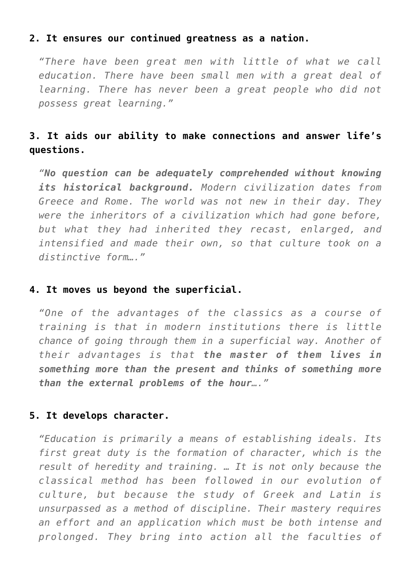## **2. It ensures our continued greatness as a nation.**

*"There have been great men with little of what we call education. There have been small men with a great deal of learning. There has never been a great people who did not possess great learning."*

## **3. It aids our ability to make connections and answer life's questions.**

*"No question can be adequately comprehended without knowing its historical background. Modern civilization dates from Greece and Rome. The world was not new in their day. They were the inheritors of a civilization which had gone before, but what they had inherited they recast, enlarged, and intensified and made their own, so that culture took on a distinctive form…."*

#### **4. It moves us beyond the superficial.**

*"One of the advantages of the classics as a course of training is that in modern institutions there is little chance of going through them in a superficial way. Another of their advantages is that the master of them lives in something more than the present and thinks of something more than the external problems of the hour…."*

### **5. It develops character.**

*"Education is primarily a means of establishing ideals. Its first great duty is the formation of character, which is the result of heredity and training. … It is not only because the classical method has been followed in our evolution of culture, but because the study of Greek and Latin is unsurpassed as a method of discipline. Their mastery requires an effort and an application which must be both intense and prolonged. They bring into action all the faculties of*